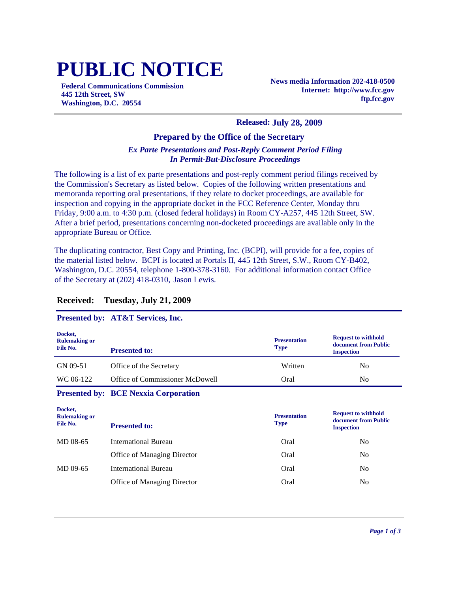# **PUBLIC NOTICE**

**Federal Communications Commission 445 12th Street, SW Washington, D.C. 20554**

**News media Information 202-418-0500 Internet: http://www.fcc.gov ftp.fcc.gov**

#### **Released: July 28, 2009**

#### **Prepared by the Office of the Secretary**

### *Ex Parte Presentations and Post-Reply Comment Period Filing In Permit-But-Disclosure Proceedings*

The following is a list of ex parte presentations and post-reply comment period filings received by the Commission's Secretary as listed below. Copies of the following written presentations and memoranda reporting oral presentations, if they relate to docket proceedings, are available for inspection and copying in the appropriate docket in the FCC Reference Center, Monday thru Friday, 9:00 a.m. to 4:30 p.m. (closed federal holidays) in Room CY-A257, 445 12th Street, SW. After a brief period, presentations concerning non-docketed proceedings are available only in the appropriate Bureau or Office.

The duplicating contractor, Best Copy and Printing, Inc. (BCPI), will provide for a fee, copies of the material listed below. BCPI is located at Portals II, 445 12th Street, S.W., Room CY-B402, Washington, D.C. 20554, telephone 1-800-378-3160. For additional information contact Office of the Secretary at (202) 418-0310, Jason Lewis.

#### **Received: Tuesday, July 21, 2009**

# **Presented by: AT&T Services, Inc.**

| Docket,<br><b>Rulemaking or</b><br>File No. | <b>Presented to:</b>            | <b>Presentation</b><br><b>Type</b> | <b>Request to withhold</b><br>document from Public<br><b>Inspection</b> |
|---------------------------------------------|---------------------------------|------------------------------------|-------------------------------------------------------------------------|
| GN 09-51                                    | Office of the Secretary         | Written                            | N <sub>0</sub>                                                          |
| WC 06-122                                   | Office of Commissioner McDowell | Oral                               | N <sub>0</sub>                                                          |

#### **Presented by: BCE Nexxia Corporation**

| Docket,<br><b>Rulemaking or</b><br>File No. | <b>Presented to:</b>        | <b>Presentation</b><br><b>Type</b> | <b>Request to withhold</b><br>document from Public<br><b>Inspection</b> |
|---------------------------------------------|-----------------------------|------------------------------------|-------------------------------------------------------------------------|
| MD 08-65                                    | International Bureau        | Oral                               | No.                                                                     |
|                                             | Office of Managing Director | Oral                               | N <sub>o</sub>                                                          |
| MD 09-65                                    | International Bureau        | Oral                               | No                                                                      |
|                                             | Office of Managing Director | Oral                               | No                                                                      |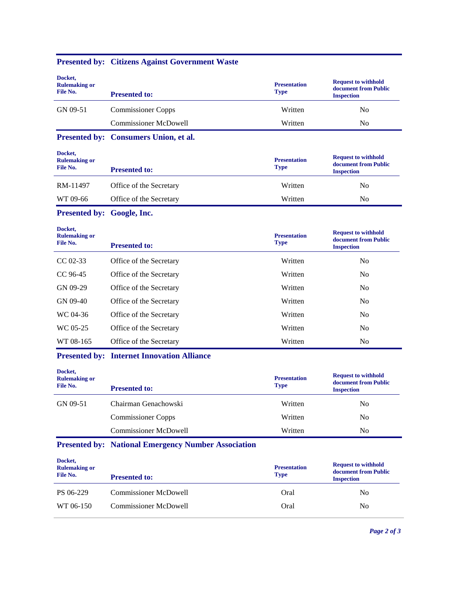| Docket,<br><b>Rulemaking or</b><br>File No. | <b>Presented to:</b>                              | <b>Presentation</b><br><b>Type</b> | <b>Request to withhold</b><br>document from Public<br><b>Inspection</b> |
|---------------------------------------------|---------------------------------------------------|------------------------------------|-------------------------------------------------------------------------|
| GN 09-51                                    | <b>Commissioner Copps</b>                         | Written                            | No                                                                      |
|                                             | <b>Commissioner McDowell</b>                      | Written                            | N <sub>o</sub>                                                          |
| <b>Presented by:</b>                        | <b>Consumers Union, et al.</b>                    |                                    |                                                                         |
| Docket,<br><b>Rulemaking or</b><br>File No. | <b>Presented to:</b>                              | <b>Presentation</b><br><b>Type</b> | <b>Request to withhold</b><br>document from Public<br><b>Inspection</b> |
| RM-11497                                    | Office of the Secretary                           | Written                            | No                                                                      |
| WT 09-66                                    | Office of the Secretary                           | Written                            | N <sub>o</sub>                                                          |
| Presented by: Google, Inc.                  |                                                   |                                    |                                                                         |
| Docket,<br><b>Rulemaking or</b><br>File No. | <b>Presented to:</b>                              | <b>Presentation</b><br><b>Type</b> | <b>Request to withhold</b><br>document from Public<br><b>Inspection</b> |
| $CC 02-33$                                  | Office of the Secretary                           | Written                            | N <sub>0</sub>                                                          |
| CC 96-45                                    | Office of the Secretary                           | Written                            | N <sub>0</sub>                                                          |
| GN 09-29                                    | Office of the Secretary                           | Written                            | N <sub>0</sub>                                                          |
| GN 09-40                                    | Office of the Secretary                           | Written                            | N <sub>o</sub>                                                          |
| WC 04-36                                    | Office of the Secretary                           | Written                            | N <sub>0</sub>                                                          |
| WC 05-25                                    | Office of the Secretary                           | Written                            | N <sub>0</sub>                                                          |
| WT 08-165                                   | Office of the Secretary                           | Written                            | No                                                                      |
|                                             | <b>Presented by: Internet Innovation Alliance</b> |                                    |                                                                         |

# **Presented by: Citizens Against Government Waste**

**Docket,** 

| Docket,<br><b>Rulemaking or</b><br>File No. | <b>Presented to:</b>      | <b>Presentation</b><br><b>Type</b> | <b>Request to withhold</b><br>document from Public<br><b>Inspection</b> |
|---------------------------------------------|---------------------------|------------------------------------|-------------------------------------------------------------------------|
| GN 09-51                                    | Chairman Genachowski      | Written                            | No                                                                      |
|                                             | <b>Commissioner Copps</b> | Written                            | No                                                                      |
|                                             | Commissioner McDowell     | Written                            | No                                                                      |
|                                             |                           |                                    |                                                                         |

# **Presented by: National Emergency Number Association**

| Docket,<br><b>Rulemaking or</b><br>File No. | <b>Presented to:</b>         | <b>Presentation</b><br><b>Type</b> | <b>Request to withhold</b><br>document from Public<br><b>Inspection</b> |
|---------------------------------------------|------------------------------|------------------------------------|-------------------------------------------------------------------------|
| PS 06-229                                   | <b>Commissioner McDowell</b> | Oral                               | N <sub>0</sub>                                                          |
| WT 06-150                                   | Commissioner McDowell        | Oral                               | N <sub>0</sub>                                                          |